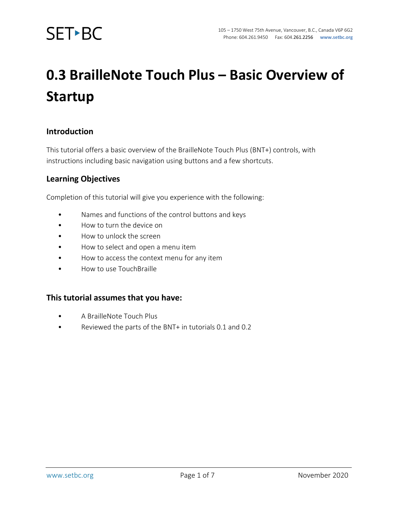

### **0.3 BrailleNote Touch Plus – Basic Overview of Startup**

#### **Introduction**

This tutorial offers a basic overview of the BrailleNote Touch Plus (BNT+) controls, with instructions including basic navigation using buttons and a few shortcuts.

#### **Learning Objectives**

Completion of this tutorial will give you experience with the following:

- Names and functions of the control buttons and keys
- How to turn the device on
- How to unlock the screen
- How to select and open a menu item
- How to access the context menu for any item
- How to use TouchBraille

#### **This tutorial assumes that you have:**

- A BrailleNote Touch Plus
- Reviewed the parts of the BNT+ in tutorials 0.1 and 0.2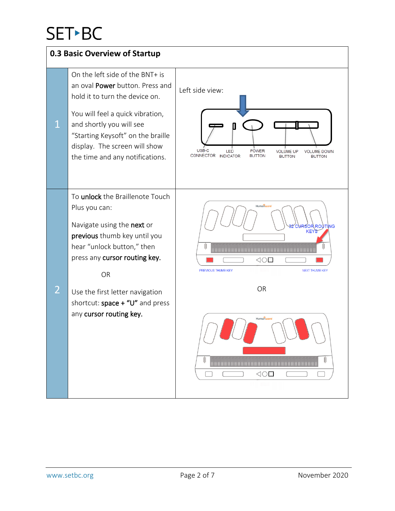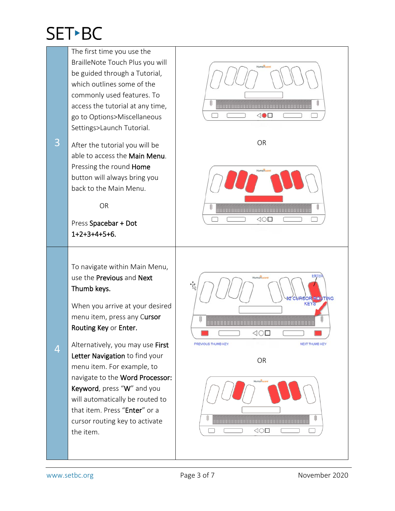The first time you use the BrailleNote Touch Plus you will be guided through a Tutorial, which outlines some of the commonly used features. To access the tutorial at any time,  $\triangleleft \bullet \Box$ П go to Options>Miscellaneous Settings>Launch Tutorial. 3 OR After the tutorial you will be able to access the Main Menu. Pressing the round Home button will always bring you back to the Main Menu. OR ┌  $\triangleleft$ O $\square$ Press Spacebar + Dot 1+2+3+4+5+6. To navigate within Main Menu, use the Previous and Next Thumb keys. KE<sup>Y</sup> When you arrive at your desired menu item, press any Cursor Routing Key or Enter.  $\triangleleft$ O $\square$ Alternatively, you may use First PREVIOUS THUMB KEY NEXT THUMB KEY 4 Letter Navigation to find your ORmenu item. For example, to navigate to the Word Processor: Keyword, press "W" and you will automatically be routed to that item. Press "Enter" or a cursor routing key to activate  $\triangleleft$ O $\square$  $\Box$ the item.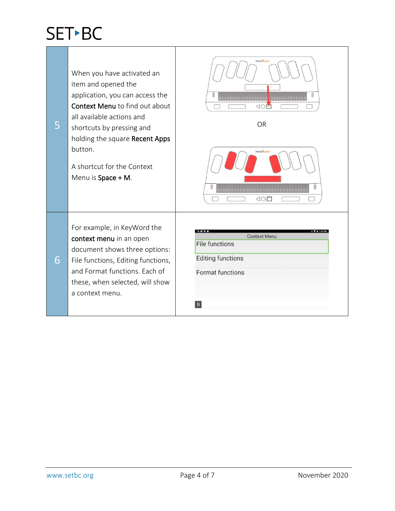| 5 | When you have activated an<br>item and opened the<br>application, you can access the<br>Context Menu to find out about<br>all available actions and<br>shortcuts by pressing and<br>holding the square Recent Apps<br>button.<br>A shortcut for the Context<br>Menu is Space + M. | Humanwan<br><b>HHHHHHHHHHHHHH</b><br>1000000000000<br><b>ON</b><br><b>OR</b><br>Humanware<br>$\triangleleft$ O $\square$ |
|---|-----------------------------------------------------------------------------------------------------------------------------------------------------------------------------------------------------------------------------------------------------------------------------------|--------------------------------------------------------------------------------------------------------------------------|
| 6 | For example, in KeyWord the<br>context menu in an open<br>document shows three options:<br>File functions, Editing functions,<br>and Format functions. Each of<br>these, when selected, will show<br>a context menu.                                                              | <b>Context Menu</b><br><b>File functions</b><br><b>Editing functions</b><br><b>Format functions</b><br>B                 |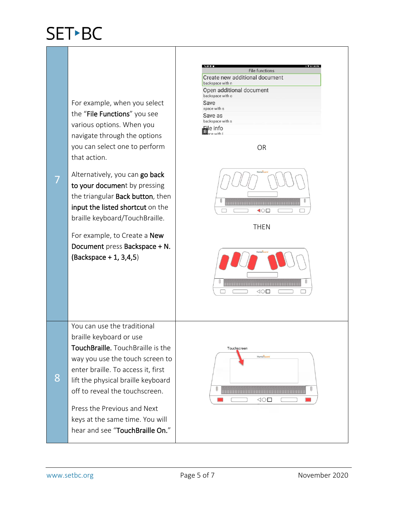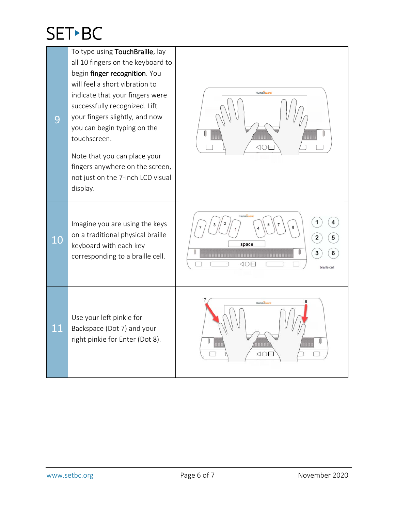| 9  | To type using TouchBraille, lay<br>all 10 fingers on the keyboard to<br>begin finger recognition. You<br>will feel a short vibration to<br>indicate that your fingers were<br>successfully recognized. Lift<br>your fingers slightly, and now | Humanware<br>88888<br>⊲0                                                                   |
|----|-----------------------------------------------------------------------------------------------------------------------------------------------------------------------------------------------------------------------------------------------|--------------------------------------------------------------------------------------------|
|    | you can begin typing on the<br>touchscreen.<br>Note that you can place your<br>fingers anywhere on the screen,<br>not just on the 7-inch LCD visual<br>display.                                                                               |                                                                                            |
| 10 | Imagine you are using the keys<br>on a traditional physical braille<br>keyboard with each key<br>corresponding to a braille cell.                                                                                                             | Humanuare<br>space<br>3<br>$\triangleleft$ $\triangleleft$ $\triangleleft$<br>braille cell |
| 11 | Use your left pinkie for<br>Backspace (Dot 7) and your<br>right pinkie for Enter (Dot 8).                                                                                                                                                     | Humanware<br>HHH<br>$\triangleleft$ (                                                      |